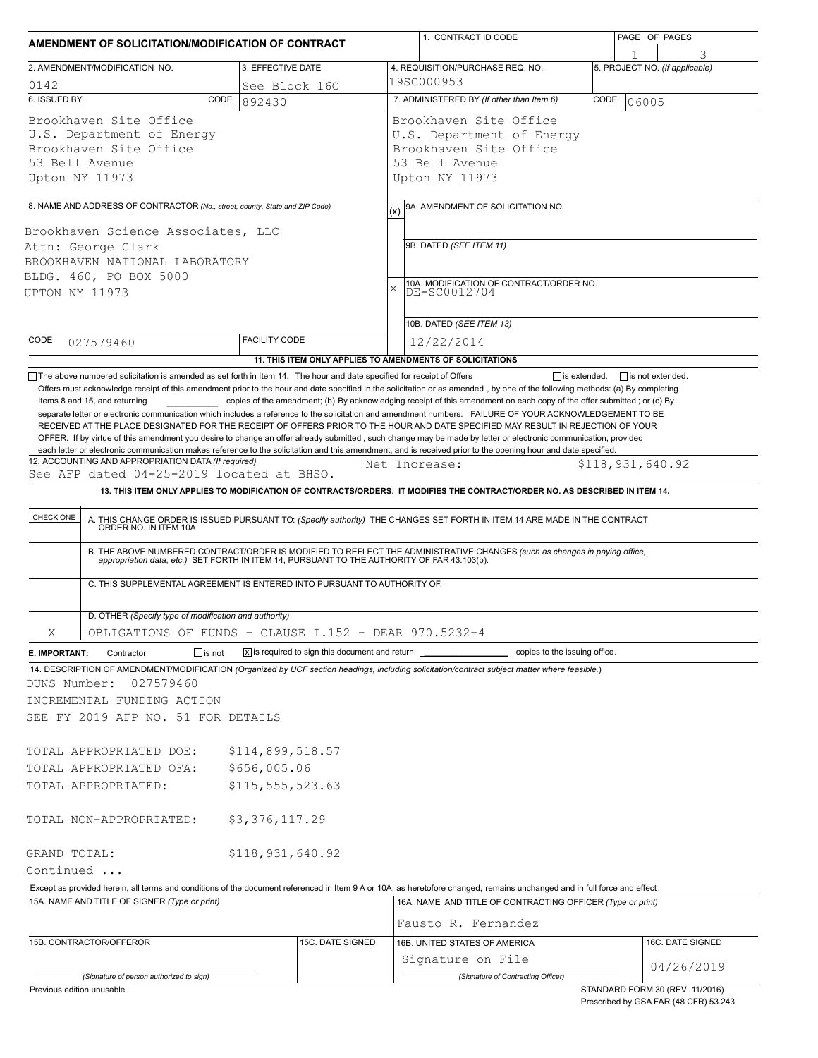| AMENDMENT OF SOLICITATION/MODIFICATION OF CONTRACT                                                                                                                                                  |                      |                                                                            | 1. CONTRACT ID CODE                                                                                                                                                                                                                                                                                                                                                                                                                                                                                                                                                                                                           | PAGE OF PAGES                   |  |  |  |
|-----------------------------------------------------------------------------------------------------------------------------------------------------------------------------------------------------|----------------------|----------------------------------------------------------------------------|-------------------------------------------------------------------------------------------------------------------------------------------------------------------------------------------------------------------------------------------------------------------------------------------------------------------------------------------------------------------------------------------------------------------------------------------------------------------------------------------------------------------------------------------------------------------------------------------------------------------------------|---------------------------------|--|--|--|
| 2. AMENDMENT/MODIFICATION NO.                                                                                                                                                                       | 3. EFFECTIVE DATE    |                                                                            | 4. REQUISITION/PURCHASE REQ. NO.                                                                                                                                                                                                                                                                                                                                                                                                                                                                                                                                                                                              | 5. PROJECT NO. (If applicable)  |  |  |  |
| 0142                                                                                                                                                                                                | See Block 16C        |                                                                            | 19SC000953                                                                                                                                                                                                                                                                                                                                                                                                                                                                                                                                                                                                                    |                                 |  |  |  |
| 6. ISSUED BY                                                                                                                                                                                        | CODE<br>892430       |                                                                            | 7. ADMINISTERED BY (If other than Item 6)<br>CODE<br>06005                                                                                                                                                                                                                                                                                                                                                                                                                                                                                                                                                                    |                                 |  |  |  |
| Brookhaven Site Office<br>U.S. Department of Energy<br>Brookhaven Site Office<br>53 Bell Avenue<br>Upton NY 11973                                                                                   |                      |                                                                            | Brookhaven Site Office<br>U.S. Department of Energy<br>Brookhaven Site Office<br>53 Bell Avenue<br>Upton NY 11973                                                                                                                                                                                                                                                                                                                                                                                                                                                                                                             |                                 |  |  |  |
|                                                                                                                                                                                                     |                      |                                                                            |                                                                                                                                                                                                                                                                                                                                                                                                                                                                                                                                                                                                                               |                                 |  |  |  |
| 8. NAME AND ADDRESS OF CONTRACTOR (No., street, county, State and ZIP Code)<br>Brookhaven Science Associates, LLC<br>Attn: George Clark<br>BROOKHAVEN NATIONAL LABORATORY<br>BLDG. 460, PO BOX 5000 |                      |                                                                            | 9A. AMENDMENT OF SOLICITATION NO.<br>(x)<br>9B. DATED (SEE ITEM 11)<br>10A. MODIFICATION OF CONTRACT/ORDER NO.<br>DE-SC0012704<br>X                                                                                                                                                                                                                                                                                                                                                                                                                                                                                           |                                 |  |  |  |
| UPTON NY 11973                                                                                                                                                                                      |                      |                                                                            | 10B. DATED (SEE ITEM 13)                                                                                                                                                                                                                                                                                                                                                                                                                                                                                                                                                                                                      |                                 |  |  |  |
| CODE                                                                                                                                                                                                | <b>FACILITY CODE</b> |                                                                            | 12/22/2014                                                                                                                                                                                                                                                                                                                                                                                                                                                                                                                                                                                                                    |                                 |  |  |  |
| 027579460                                                                                                                                                                                           |                      |                                                                            | 11. THIS ITEM ONLY APPLIES TO AMENDMENTS OF SOLICITATIONS                                                                                                                                                                                                                                                                                                                                                                                                                                                                                                                                                                     |                                 |  |  |  |
|                                                                                                                                                                                                     |                      |                                                                            | separate letter or electronic communication which includes a reference to the solicitation and amendment numbers. FAILURE OF YOUR ACKNOWLEDGEMENT TO BE<br>RECEIVED AT THE PLACE DESIGNATED FOR THE RECEIPT OF OFFERS PRIOR TO THE HOUR AND DATE SPECIFIED MAY RESULT IN REJECTION OF YOUR<br>OFFER. If by virtue of this amendment you desire to change an offer already submitted, such change may be made by letter or electronic communication, provided<br>each letter or electronic communication makes reference to the solicitation and this amendment, and is received prior to the opening hour and date specified. |                                 |  |  |  |
| 12. ACCOUNTING AND APPROPRIATION DATA (If required)                                                                                                                                                 |                      |                                                                            | Net Increase:                                                                                                                                                                                                                                                                                                                                                                                                                                                                                                                                                                                                                 | \$118,931,640.92                |  |  |  |
| See AFP dated 04-25-2019 located at BHSO.                                                                                                                                                           |                      |                                                                            | 13. THIS ITEM ONLY APPLIES TO MODIFICATION OF CONTRACTS/ORDERS. IT MODIFIES THE CONTRACT/ORDER NO. AS DESCRIBED IN ITEM 14.                                                                                                                                                                                                                                                                                                                                                                                                                                                                                                   |                                 |  |  |  |
| C. THIS SUPPLEMENTAL AGREEMENT IS ENTERED INTO PURSUANT TO AUTHORITY OF:                                                                                                                            |                      |                                                                            | B. THE ABOVE NUMBERED CONTRACT/ORDER IS MODIFIED TO REFLECT THE ADMINISTRATIVE CHANGES (such as changes in paying office, appropriation data, etc.) SET FORTH IN ITEM 14, PURSUANT TO THE AUTHORITY OF FAR 43.103(b).                                                                                                                                                                                                                                                                                                                                                                                                         |                                 |  |  |  |
| D. OTHER (Specify type of modification and authority)                                                                                                                                               |                      |                                                                            |                                                                                                                                                                                                                                                                                                                                                                                                                                                                                                                                                                                                                               |                                 |  |  |  |
| OBLIGATIONS OF FUNDS - CLAUSE I.152 - DEAR 970.5232-4<br>Χ                                                                                                                                          |                      |                                                                            |                                                                                                                                                                                                                                                                                                                                                                                                                                                                                                                                                                                                                               |                                 |  |  |  |
| Contractor<br>$\Box$ is not<br>E. IMPORTANT:                                                                                                                                                        |                      | $\overline{X}$ is required to sign this document and return $\overline{I}$ | copies to the issuing office.                                                                                                                                                                                                                                                                                                                                                                                                                                                                                                                                                                                                 |                                 |  |  |  |
| DUNS Number:<br>027579460<br>INCREMENTAL FUNDING ACTION<br>SEE FY 2019 AFP NO. 51 FOR DETAILS<br>TOTAL APPROPRIATED DOE:                                                                            | \$114,899,518.57     |                                                                            | 14. DESCRIPTION OF AMENDMENT/MODIFICATION (Organized by UCF section headings, including solicitation/contract subject matter where feasible.)                                                                                                                                                                                                                                                                                                                                                                                                                                                                                 |                                 |  |  |  |
| \$656,005.06<br>TOTAL APPROPRIATED OFA:                                                                                                                                                             |                      |                                                                            |                                                                                                                                                                                                                                                                                                                                                                                                                                                                                                                                                                                                                               |                                 |  |  |  |
| TOTAL APPROPRIATED:                                                                                                                                                                                 | \$115, 555, 523.63   |                                                                            |                                                                                                                                                                                                                                                                                                                                                                                                                                                                                                                                                                                                                               |                                 |  |  |  |
| TOTAL NON-APPROPRIATED:                                                                                                                                                                             | \$3,376,117.29       |                                                                            |                                                                                                                                                                                                                                                                                                                                                                                                                                                                                                                                                                                                                               |                                 |  |  |  |
| GRAND TOTAL:                                                                                                                                                                                        | \$118,931,640.92     |                                                                            |                                                                                                                                                                                                                                                                                                                                                                                                                                                                                                                                                                                                                               |                                 |  |  |  |
| Continued                                                                                                                                                                                           |                      |                                                                            |                                                                                                                                                                                                                                                                                                                                                                                                                                                                                                                                                                                                                               |                                 |  |  |  |
| 15A. NAME AND TITLE OF SIGNER (Type or print)                                                                                                                                                       |                      |                                                                            | Except as provided herein, all terms and conditions of the document referenced in Item 9 A or 10A, as heretofore changed, remains unchanged and in full force and effect.<br>16A. NAME AND TITLE OF CONTRACTING OFFICER (Type or print)                                                                                                                                                                                                                                                                                                                                                                                       |                                 |  |  |  |
|                                                                                                                                                                                                     |                      |                                                                            | Fausto R. Fernandez                                                                                                                                                                                                                                                                                                                                                                                                                                                                                                                                                                                                           |                                 |  |  |  |
| 15B. CONTRACTOR/OFFEROR                                                                                                                                                                             |                      | 15C. DATE SIGNED                                                           | 16B. UNITED STATES OF AMERICA<br>Signature on File                                                                                                                                                                                                                                                                                                                                                                                                                                                                                                                                                                            | 16C. DATE SIGNED                |  |  |  |
| (Signature of person authorized to sign)                                                                                                                                                            |                      |                                                                            | (Signature of Contracting Officer)                                                                                                                                                                                                                                                                                                                                                                                                                                                                                                                                                                                            | 04/26/2019                      |  |  |  |
| Previous edition unusable                                                                                                                                                                           |                      |                                                                            |                                                                                                                                                                                                                                                                                                                                                                                                                                                                                                                                                                                                                               | STANDARD FORM 30 (REV. 11/2016) |  |  |  |

Prescribed by GSA FAR (48 CFR) 53.243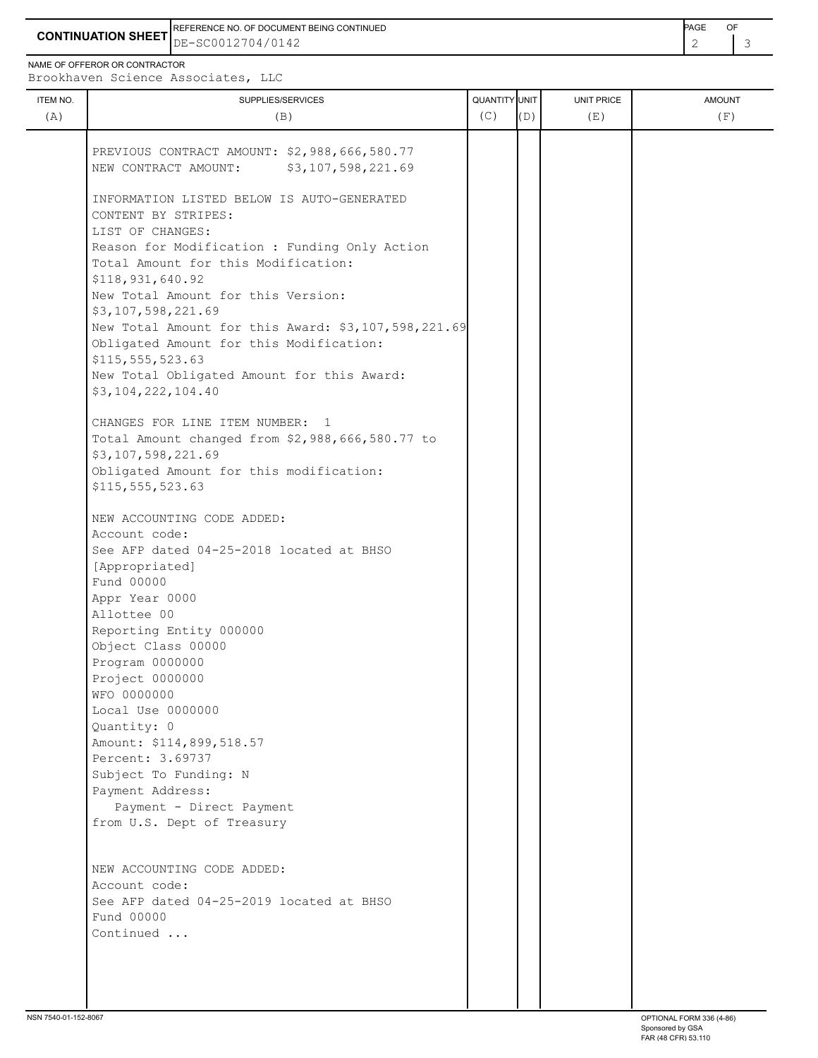**CONTINUATION SHEET** DE-SC0012704/0142 2 3 REFERENCE NO. OF DOCUMENT BEING CONTINUED **Example 2008** PAGE OF

NAME OF OFFEROR OR CONTRACTOR

Brookhaven Science Associates, LLC

|     |                                                             |     |     |     | <b>AMOUNT</b> |
|-----|-------------------------------------------------------------|-----|-----|-----|---------------|
| (A) | (B)                                                         | (C) | (D) | (E) | (F)           |
|     |                                                             |     |     |     |               |
|     | PREVIOUS CONTRACT AMOUNT: \$2,988,666,580.77                |     |     |     |               |
|     | NEW CONTRACT AMOUNT:<br>\$3,107,598,221.69                  |     |     |     |               |
|     |                                                             |     |     |     |               |
|     | INFORMATION LISTED BELOW IS AUTO-GENERATED                  |     |     |     |               |
|     | CONTENT BY STRIPES:                                         |     |     |     |               |
|     | LIST OF CHANGES:                                            |     |     |     |               |
|     | Reason for Modification : Funding Only Action               |     |     |     |               |
|     | Total Amount for this Modification:<br>\$118,931,640.92     |     |     |     |               |
|     | New Total Amount for this Version:                          |     |     |     |               |
|     | \$3,107,598,221.69                                          |     |     |     |               |
|     | New Total Amount for this Award: \$3,107,598,221.69         |     |     |     |               |
|     | Obligated Amount for this Modification:                     |     |     |     |               |
|     | \$115,555,523.63                                            |     |     |     |               |
|     | New Total Obligated Amount for this Award:                  |     |     |     |               |
|     | \$3,104,222,104.40                                          |     |     |     |               |
|     |                                                             |     |     |     |               |
|     | CHANGES FOR LINE ITEM NUMBER: 1                             |     |     |     |               |
|     | Total Amount changed from \$2,988,666,580.77 to             |     |     |     |               |
|     | \$3,107,598,221.69                                          |     |     |     |               |
|     | Obligated Amount for this modification:<br>\$115,555,523.63 |     |     |     |               |
|     |                                                             |     |     |     |               |
|     | NEW ACCOUNTING CODE ADDED:                                  |     |     |     |               |
|     | Account code:                                               |     |     |     |               |
|     | See AFP dated 04-25-2018 located at BHSO                    |     |     |     |               |
|     | [Appropriated]                                              |     |     |     |               |
|     | Fund 00000                                                  |     |     |     |               |
|     | Appr Year 0000                                              |     |     |     |               |
|     | Allottee 00                                                 |     |     |     |               |
|     | Reporting Entity 000000                                     |     |     |     |               |
|     | Object Class 00000<br>Program 0000000                       |     |     |     |               |
|     | Project 0000000                                             |     |     |     |               |
|     | WFO 0000000                                                 |     |     |     |               |
|     | Local Use 0000000                                           |     |     |     |               |
|     | Quantity: 0                                                 |     |     |     |               |
|     | Amount: \$114,899,518.57                                    |     |     |     |               |
|     | Percent: 3.69737                                            |     |     |     |               |
|     | Subject To Funding: N                                       |     |     |     |               |
|     | Payment Address:                                            |     |     |     |               |
|     | Payment - Direct Payment                                    |     |     |     |               |
|     | from U.S. Dept of Treasury                                  |     |     |     |               |
|     |                                                             |     |     |     |               |
|     | NEW ACCOUNTING CODE ADDED:                                  |     |     |     |               |
|     | Account code:                                               |     |     |     |               |
|     | See AFP dated 04-25-2019 located at BHSO                    |     |     |     |               |
|     | Fund 00000                                                  |     |     |     |               |
|     | Continued                                                   |     |     |     |               |
|     |                                                             |     |     |     |               |
|     |                                                             |     |     |     |               |